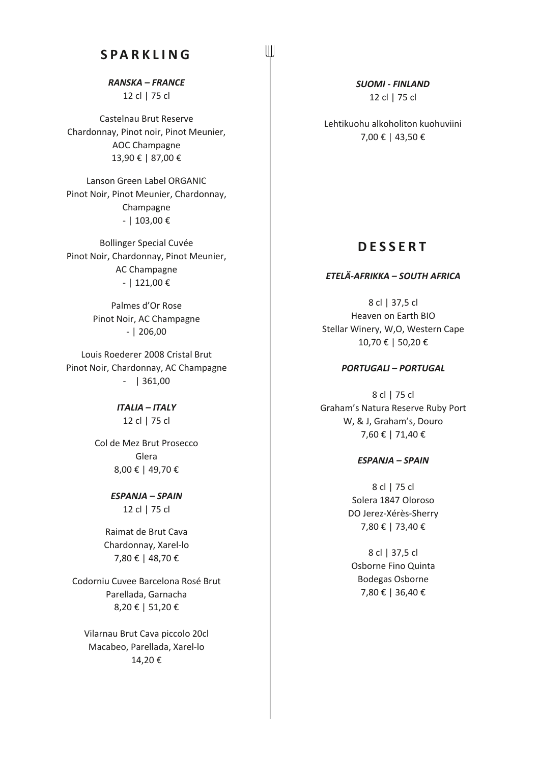# **SPARKLING**

 $\left\| \right\|$ 

*RANSKA – FRANCE* 12 cl | 75 cl

Castelnau Brut Reserve Chardonnay, Pinot noir, Pinot Meunier, AOC Champagne 13,90 € | 87,00 €

Lanson Green Label ORGANIC Pinot Noir, Pinot Meunier, Chardonnay, Champagne - | 103,00 €

Bollinger Special Cuvée Pinot Noir, Chardonnay, Pinot Meunier, AC Champagne - | 121,00 €

> Palmes d'Or Rose Pinot Noir, AC Champagne - | 206,00

Louis Roederer 2008 Cristal Brut Pinot Noir, Chardonnay, AC Champagne - | 361,00

> *ITALIA – ITALY* 12 cl | 75 cl

Col de Mez Brut Prosecco Glera 8,00 € | 49,70 €

> *ESPANJA – SPAIN* 12 cl | 75 cl

Raimat de Brut Cava Chardonnay, Xarel-lo 7,80 € | 48,70 €

Codorniu Cuvee Barcelona Rosé Brut Parellada, Garnacha 8,20 € | 51,20 €

Vilarnau Brut Cava piccolo 20cl Macabeo, Parellada, Xarel-lo 14,20 €

*SUOMI - FINLAND* 12 cl | 75 cl

Lehtikuohu alkoholiton kuohuviini 7,00 € | 43,50 €

# **DESSERT**

#### *ETELÄ-AFRIKKA – SOUTH AFRICA*

8 cl | 37,5 cl Heaven on Earth BIO Stellar Winery, W,O, Western Cape 10,70 € | 50,20 €

#### *PORTUGALI – PORTUGAL*

8 cl | 75 cl Graham's Natura Reserve Ruby Port W, & J, Graham's, Douro 7,60 € | 71,40 €

#### *ESPANJA – SPAIN*

8 cl | 75 cl Solera 1847 Oloroso DO Jerez-Xérès-Sherry 7,80 € | 73,40 €

8 cl | 37,5 cl Osborne Fino Quinta Bodegas Osborne 7,80 € | 36,40 €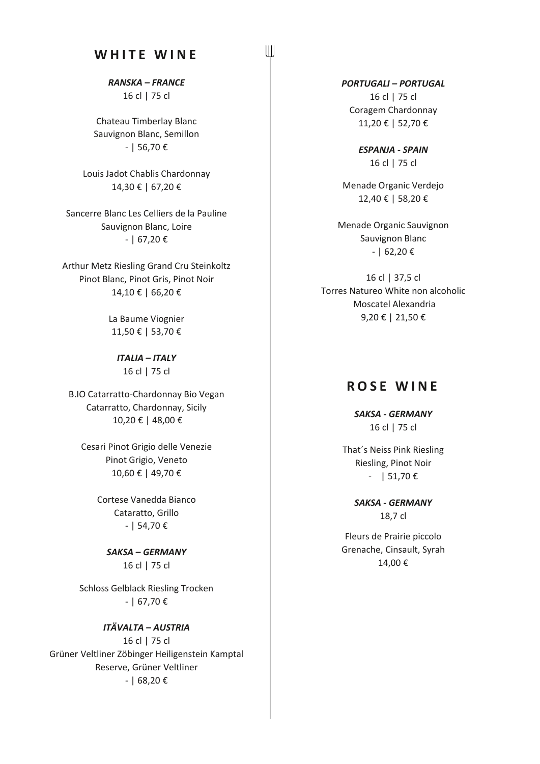# **WHITE WINE**

 $\left\| \right\|$ 

*RANSKA – FRANCE* 16 cl | 75 cl

Chateau Timberlay Blanc Sauvignon Blanc, Semillon - | 56,70 €

Louis Jadot Chablis Chardonnay 14,30 € | 67,20 €

Sancerre Blanc Les Celliers de la Pauline Sauvignon Blanc, Loire - | 67,20 €

Arthur Metz Riesling Grand Cru Steinkoltz Pinot Blanc, Pinot Gris, Pinot Noir 14,10 € | 66,20 €

> La Baume Viognier 11,50 € | 53,70 €

*ITALIA – ITALY* 16 cl | 75 cl

B.IO Catarratto-Chardonnay Bio Vegan Catarratto, Chardonnay, Sicily 10,20 € | 48,00 €

Cesari Pinot Grigio delle Venezie Pinot Grigio, Veneto 10,60 € | 49,70 €

> Cortese Vanedda Bianco Cataratto, Grillo - | 54,70 €

*SAKSA – GERMANY* 16 cl | 75 cl

Schloss Gelblack Riesling Trocken - | 67,70 €

*ITÄVALTA – AUSTRIA* 16 cl | 75 cl Grüner Veltliner Zöbinger Heiligenstein Kamptal Reserve, Grüner Veltliner - | 68,20 €

*PORTUGALI – PORTUGAL* 16 cl | 75 cl Coragem Chardonnay 11,20 € | 52,70 €

> *ESPANJA - SPAIN* 16 cl | 75 cl

Menade Organic Verdejo 12,40 € | 58,20 €

Menade Organic Sauvignon Sauvignon Blanc  $-$  | 62,20 €

16 cl | 37,5 cl Torres Natureo White non alcoholic Moscatel Alexandria 9,20 € | 21,50 €

# **ROSE WINE**

*SAKSA - GERMANY* 16 cl | 75 cl

That´s Neiss Pink Riesling Riesling, Pinot Noir  $-$  | 51,70 €

> *SAKSA - GERMANY* 18,7 cl

Fleurs de Prairie piccolo Grenache, Cinsault, Syrah 14,00 €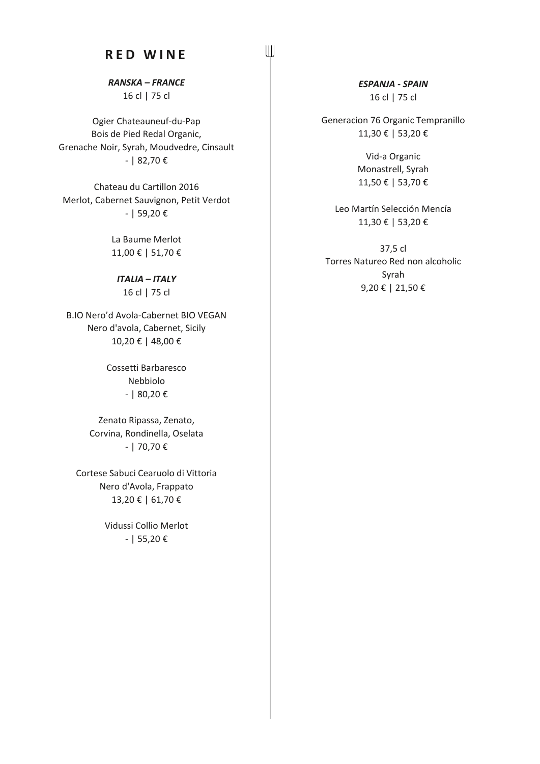# **RED WINE**

 $\left\| {}\right\|$ 

*RANSKA – FRANCE* 16 cl | 75 cl

Ogier Chateauneuf-du-Pap Bois de Pied Redal Organic, Grenache Noir, Syrah, Moudvedre, Cinsault - | 82,70 €

Chateau du Cartillon 2016 Merlot, Cabernet Sauvignon, Petit Verdot - | 59,20 €

> La Baume Merlot 11,00 € | 51,70 €

*ITALIA – ITALY* 16 cl | 75 cl

B.IO Nero'd Avola-Cabernet BIO VEGAN Nero d'avola, Cabernet, Sicily 10,20 € | 48,00 €

> Cossetti Barbaresco Nebbiolo - | 80,20 €

Zenato Ripassa, Zenato, Corvina, Rondinella, Oselata - | 70,70 €

Cortese Sabuci Cearuolo di Vittoria Nero d'Avola, Frappato 13,20 € | 61,70 €

> Vidussi Collio Merlot - | 55,20 €

*ESPANJA - SPAIN* 16 cl | 75 cl

Generacion 76 Organic Tempranillo 11,30 € | 53,20 €

> Vid-a Organic Monastrell, Syrah 11,50 € | 53,70 €

Leo Martín Selección Mencía 11,30 € | 53,20 €

37,5 cl Torres Natureo Red non alcoholic Syrah 9,20 € | 21,50 €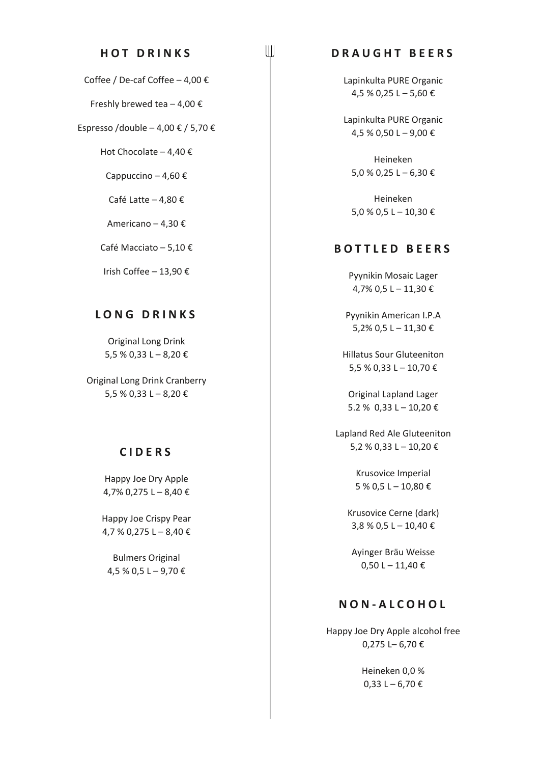#### **HOT DRINKS**

Coffee / De-caf Coffee – 4,00 €

Freshly brewed tea  $-4,00 \in$ 

Espresso /double – 4,00  $\epsilon$  / 5,70  $\epsilon$ 

Hot Chocolate – 4,40 €

Cappuccino – 4,60  $\epsilon$ 

Café Latte – 4,80 €

Americano – 4,30 €

Café Macciato – 5,10 €

Irish Coffee – 13,90 €

#### **LONG DRINKS**

Original Long Drink 5,5 % 0,33 L – 8,20 €

Original Long Drink Cranberry 5,5 % 0,33 L – 8,20 €

#### **CIDERS**

Happy Joe Dry Apple 4,7% 0,275 L – 8,40 €

Happy Joe Crispy Pear 4,7 % 0,275 L – 8,40 €

Bulmers Original  $4,5$  % 0,5 L – 9,70 €

### **DRAUGHT BEERS**

 $\left\| \right\|$ 

Lapinkulta PURE Organic 4,5 % 0,25 L – 5,60 €

Lapinkulta PURE Organic 4,5 % 0,50 L – 9,00 €

Heineken 5,0 % 0,25 L – 6,30 €

Heineken 5,0 % 0,5 L – 10,30 €

#### **BOTTLED BEERS**

Pyynikin Mosaic Lager 4,7% 0,5 L – 11,30 €

Pyynikin American I.P.A 5,2% 0,5 L – 11,30 €

Hillatus Sour Gluteeniton 5,5 % 0,33 L – 10,70 €

Original Lapland Lager 5.2 % 0,33 L − 10,20 €

Lapland Red Ale Gluteeniton 5,2 % 0,33 L – 10,20 €

> Krusovice Imperial 5 % 0,5 L – 10,80 €

Krusovice Cerne (dark) 3,8 % 0,5 L – 10,40 €

Ayinger Bräu Weisse 0,50 L – 11,40 €

## **NON - ALCOHOL**

Happy Joe Dry Apple alcohol free 0,275 L– 6,70 €

> Heineken 0,0 %  $0,33 L - 6,70 E$